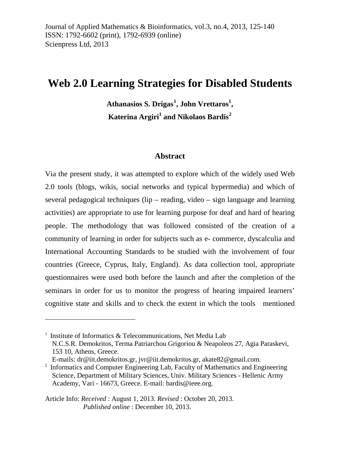# **Web 2.0 Learning Strategies for Disabled Students**

**Athanasios S. Drigas[1](#page-13-0) , John Vrettaros<sup>1</sup> , Katerina Argiri<sup>1</sup> and Nikolaos Bardis[2](#page-0-0)**

### **Abstract**

Via the present study, it was attempted to explore which of the widely used Web 2.0 tools (blogs, wikis, social networks and typical hypermedia) and which of several pedagogical techniques (lip – reading, video – sign language and learning activities) are appropriate to use for learning purpose for deaf and hard of hearing people. The methodology that was followed consisted of the creation of a community of learning in order for subjects such as e- commerce, dyscalculia and International Accounting Standards to be studied with the involvement of four countries (Greece, Cyprus, Italy, England). As data collection tool, appropriate questionnaires were used both before the launch and after the completion of the seminars in order for us to monitor the progress of hearing impaired learners' cognitive state and skills and to check the extent in which the tools mentioned

-

 $1$  Institute of Informatics & Telecommunications, Net Media Lab N.C.S.R. Demokritos, Terma Patriarchou Grigoriou & Neapoleos 27, Agia Paraskevi, 153 10, Athens, Greece. E-mails: [dr@iit.demokritos.gr,](mailto:dr@iit.demokritos.gr) [jvr@iit.demokritos.gr,](mailto:jvr@iit.demokritos.gr) akate82@gmail.com.

<span id="page-0-0"></span><sup>2</sup> Informatics and Computer Engineering Lab, Faculty of Mathematics and Engineering Science, Department of Military Sciences, Univ. Military Sciences - Hellenic Army Academy, Vari - 16673, Greece. E-mail: [bardis@ieee.org.](mailto:bardis@ieee.org)

Article Info: *Received* : August 1, 2013*. Revised* : October 20, 2013. *Published online* : December 10, 2013.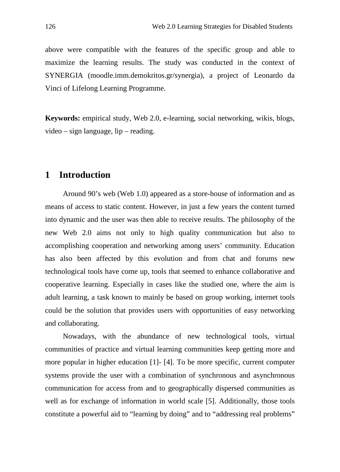above were compatible with the features of the specific group and able to maximize the learning results. The study was conducted in the context of SYNERGIA (moodle.imm.demokritos.gr/synergia), a project of Leonardo da Vinci of Lifelong Learning Programme.

**Keywords:** empirical study, Web 2.0, e-learning, social networking, wikis, blogs, video – sign language, lip – reading.

# **1 Introduction**

Around 90's web (Web 1.0) appeared as a store-house of information and as means of access to static content. However, in just a few years the content turned into dynamic and the user was then able to receive results. The philosophy of the new Web 2.0 aims not only to high quality communication but also to accomplishing cooperation and networking among users' community. Education has also been affected by this evolution and from chat and forums new technological tools have come up, tools that seemed to enhance collaborative and cooperative learning. Especially in cases like the studied one, where the aim is adult learning, a task known to mainly be based on group working, internet tools could be the solution that provides users with opportunities of easy networking and collaborating.

Nowadays, with the abundance of new technological tools, virtual communities of practice and virtual learning communities keep getting more and more popular in higher education [1]- [4]. To be more specific, current computer systems provide the user with a combination of synchronous and asynchronous communication for access from and to geographically dispersed communities as well as for exchange of information in world scale [5]. Additionally, those tools constitute a powerful aid to "learning by doing" and to "addressing real problems"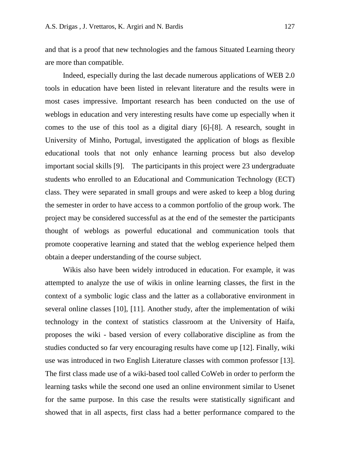and that is a proof that new technologies and the famous Situated Learning theory are more than compatible.

Indeed, especially during the last decade numerous applications of WEB 2.0 tools in education have been listed in relevant literature and the results were in most cases impressive. Important research has been conducted on the use of weblogs in education and very interesting results have come up especially when it comes to the use of this tool as a digital diary [6]-[8]. A research, sought in University of Minho, Portugal, investigated the application of blogs as flexible educational tools that not only enhance learning process but also develop important social skills [9]. The participants in this project were 23 undergraduate students who enrolled to an Educational and Communication Technology (ECT) class. They were separated in small groups and were asked to keep a blog during the semester in order to have access to a common portfolio of the group work. The project may be considered successful as at the end of the semester the participants thought of weblogs as powerful educational and communication tools that promote cooperative learning and stated that the weblog experience helped them obtain a deeper understanding of the course subject.

Wikis also have been widely introduced in education. For example, it was attempted to analyze the use of wikis in online learning classes, the first in the context of a symbolic logic class and the latter as a collaborative environment in several online classes [10], [11]. Another study, after the implementation of wiki technology in the context of statistics classroom at the University of Haifa, proposes the wiki - based version of every collaborative discipline as from the studies conducted so far very encouraging results have come up [12]. Finally, wiki use was introduced in two English Literature classes with common professor [13]. The first class made use of a wiki-based tool called CoWeb in order to perform the learning tasks while the second one used an online environment similar to Usenet for the same purpose. In this case the results were statistically significant and showed that in all aspects, first class had a better performance compared to the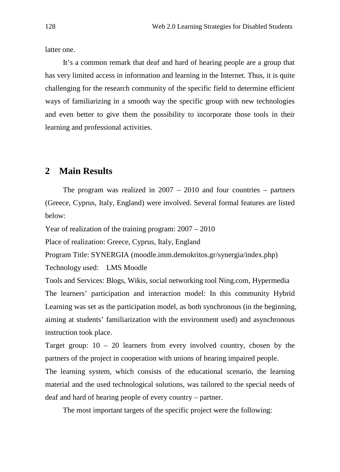latter one.

It's a common remark that deaf and hard of hearing people are a group that has very limited access in information and learning in the Internet. Thus, it is quite challenging for the research community of the specific field to determine efficient ways of familiarizing in a smooth way the specific group with new technologies and even better to give them the possibility to incorporate those tools in their learning and professional activities.

## **2 Main Results**

The program was realized in  $2007 - 2010$  and four countries – partners (Greece, Cyprus, Italy, England) were involved. Several formal features are listed below:

Year of realization of the training program: 2007 – 2010

Place of realization: Greece, Cyprus, Italy, England

Program Title: SYNERGIA (moodle.imm.demokritos.gr/synergia/index.php)

Technology used: LMS Moodle

Tools and Services: Blogs, Wikis, social networking tool Ning.com, Hypermedia The learners' participation and interaction model: In this community Hybrid Learning was set as the participation model, as both synchronous (in the beginning, aiming at students' familiarization with the environment used) and asynchronous instruction took place.

Target group:  $10 - 20$  learners from every involved country, chosen by the partners of the project in cooperation with unions of hearing impaired people.

The learning system, which consists of the educational scenario, the learning material and the used technological solutions, was tailored to the special needs of deaf and hard of hearing people of every country – partner.

The most important targets of the specific project were the following: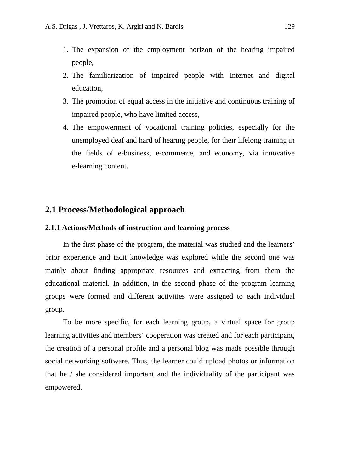- 1. The expansion of the employment horizon of the hearing impaired people,
- 2. The familiarization of impaired people with Internet and digital education,
- 3. The promotion of equal access in the initiative and continuous training of impaired people, who have limited access,
- 4. The empowerment of vocational training policies, especially for the unemployed deaf and hard of hearing people, for their lifelong training in the fields of e-business, e-commerce, and economy, via innovative e-learning content.

### **2.1 Process/Methodological approach**

### **2.1.1 Actions/Methods of instruction and learning process**

In the first phase of the program, the material was studied and the learners' prior experience and tacit knowledge was explored while the second one was mainly about finding appropriate resources and extracting from them the educational material. In addition, in the second phase of the program learning groups were formed and different activities were assigned to each individual group.

To be more specific, for each learning group, a virtual space for group learning activities and members' cooperation was created and for each participant, the creation of a personal profile and a personal blog was made possible through social networking software. Thus, the learner could upload photos or information that he / she considered important and the individuality of the participant was empowered.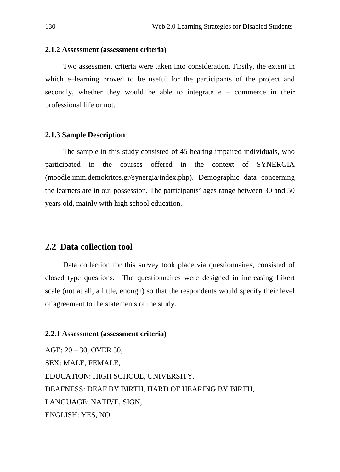### **2.1.2 Assessment (assessment criteria)**

Two assessment criteria were taken into consideration. Firstly, the extent in which e–learning proved to be useful for the participants of the project and secondly, whether they would be able to integrate  $e -$  commerce in their professional life or not.

#### **2.1.3 Sample Description**

The sample in this study consisted of 45 hearing impaired individuals, who participated in the courses offered in the context of SYNERGIA (moodle.imm.demokritos.gr/synergia/index.php). Demographic data concerning the learners are in our possession. The participants' ages range between 30 and 50 years old, mainly with high school education.

### **2.2 Data collection tool**

Data collection for this survey took place via questionnaires, consisted of closed type questions. The questionnaires were designed in increasing Likert scale (not at all, a little, enough) so that the respondents would specify their level of agreement to the statements of the study.

#### **2.2.1 Assessment (assessment criteria)**

AGE: 20 – 30, OVER 30, SEX: MALE, FEMALE, EDUCATION: HIGH SCHOOL, UNIVERSITY, DEAFNESS: DEAF BY BIRTH, HARD OF HEARING BY BIRTH, LANGUAGE: NATIVE, SIGN, ENGLISH: YES, NO.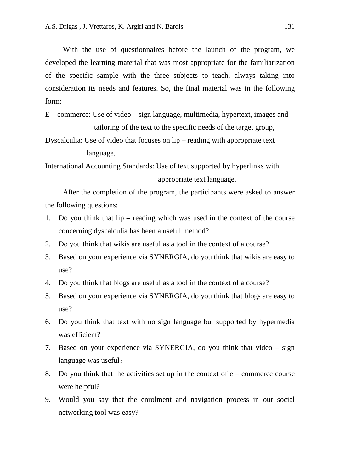With the use of questionnaires before the launch of the program, we developed the learning material that was most appropriate for the familiarization of the specific sample with the three subjects to teach, always taking into consideration its needs and features. So, the final material was in the following form:

E – commerce: Use of video – sign language, multimedia, hypertext, images and tailoring of the text to the specific needs of the target group,

Dyscalculia: Use of video that focuses on lip – reading with appropriate text language,

International Accounting Standards: Use of text supported by hyperlinks with appropriate text language.

After the completion of the program, the participants were asked to answer the following questions:

- 1. Do you think that lip reading which was used in the context of the course concerning dyscalculia has been a useful method?
- 2. Do you think that wikis are useful as a tool in the context of a course?
- 3. Based on your experience via SYNERGIA, do you think that wikis are easy to use?
- 4. Do you think that blogs are useful as a tool in the context of a course?
- 5. Based on your experience via SYNERGIA, do you think that blogs are easy to use?
- 6. Do you think that text with no sign language but supported by hypermedia was efficient?
- 7. Based on your experience via SYNERGIA, do you think that video sign language was useful?
- 8. Do you think that the activities set up in the context of  $e$  commerce course were helpful?
- 9. Would you say that the enrolment and navigation process in our social networking tool was easy?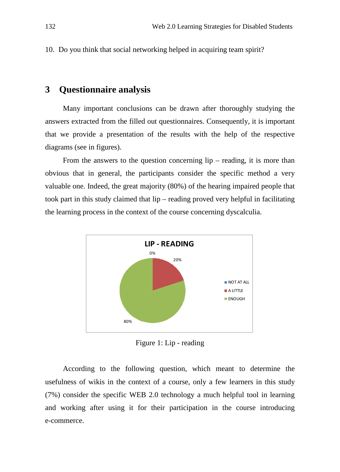10. Do you think that social networking helped in acquiring team spirit?

# **3 Questionnaire analysis**

Many important conclusions can be drawn after thoroughly studying the answers extracted from the filled out questionnaires. Consequently, it is important that we provide a presentation of the results with the help of the respective diagrams (see in figures).

From the answers to the question concerning  $lip -$  reading, it is more than obvious that in general, the participants consider the specific method a very valuable one. Indeed, the great majority (80%) of the hearing impaired people that took part in this study claimed that lip – reading proved very helpful in facilitating the learning process in the context of the course concerning dyscalculia.



Figure 1: Lip - reading

According to the following question, which meant to determine the usefulness of wikis in the context of a course, only a few learners in this study (7%) consider the specific WEB 2.0 technology a much helpful tool in learning and working after using it for their participation in the course introducing e-commerce.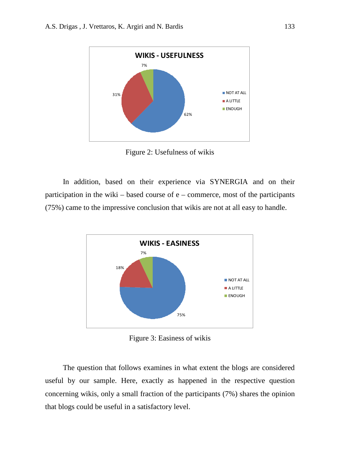

Figure 2: Usefulness of wikis

In addition, based on their experience via SYNERGIA and on their participation in the wiki – based course of  $e$  – commerce, most of the participants (75%) came to the impressive conclusion that wikis are not at all easy to handle.



Figure 3: Easiness of wikis

The question that follows examines in what extent the blogs are considered useful by our sample. Here, exactly as happened in the respective question concerning wikis, only a small fraction of the participants (7%) shares the opinion that blogs could be useful in a satisfactory level.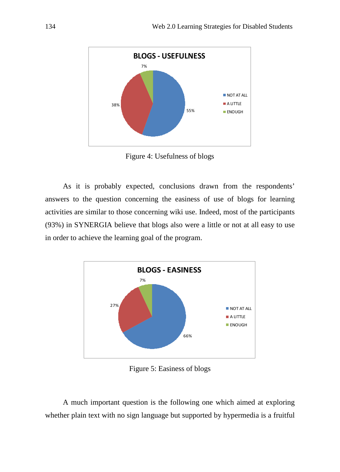

Figure 4: Usefulness of blogs

As it is probably expected, conclusions drawn from the respondents' answers to the question concerning the easiness of use of blogs for learning activities are similar to those concerning wiki use. Indeed, most of the participants (93%) in SYNERGIA believe that blogs also were a little or not at all easy to use in order to achieve the learning goal of the program.



Figure 5: Easiness of blogs

A much important question is the following one which aimed at exploring whether plain text with no sign language but supported by hypermedia is a fruitful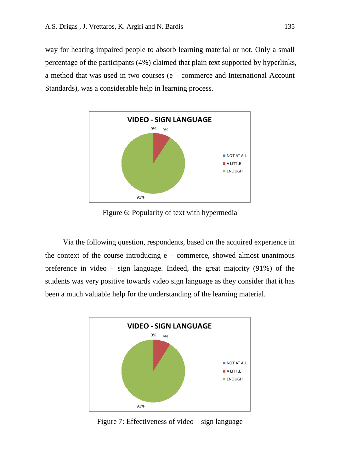way for hearing impaired people to absorb learning material or not. Only a small percentage of the participants (4%) claimed that plain text supported by hyperlinks, a method that was used in two courses (e – commerce and International Account Standards), was a considerable help in learning process.



Figure 6: Popularity of text with hypermedia

Via the following question, respondents, based on the acquired experience in the context of the course introducing  $e$  – commerce, showed almost unanimous preference in video – sign language. Indeed, the great majority (91%) of the students was very positive towards video sign language as they consider that it has been a much valuable help for the understanding of the learning material.



Figure 7: Effectiveness of video – sign language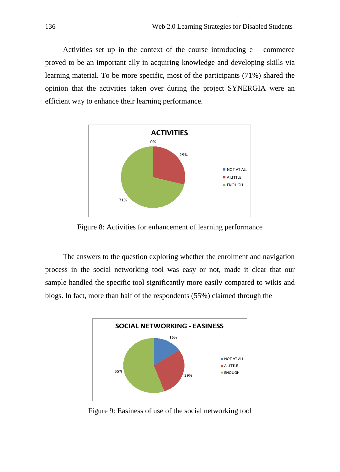Activities set up in the context of the course introducing  $e -$  commerce proved to be an important ally in acquiring knowledge and developing skills via learning material. To be more specific, most of the participants (71%) shared the opinion that the activities taken over during the project SYNERGIA were an efficient way to enhance their learning performance.



Figure 8: Activities for enhancement of learning performance

The answers to the question exploring whether the enrolment and navigation process in the social networking tool was easy or not, made it clear that our sample handled the specific tool significantly more easily compared to wikis and blogs. In fact, more than half of the respondents (55%) claimed through the



Figure 9: Easiness of use of the social networking tool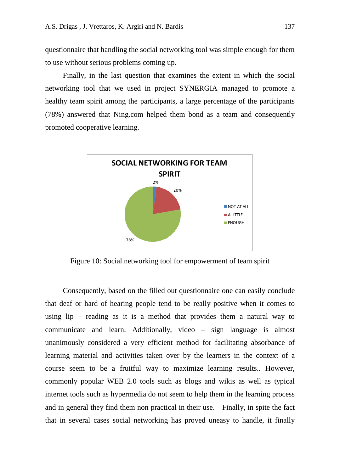questionnaire that handling the social networking tool was simple enough for them to use without serious problems coming up.

Finally, in the last question that examines the extent in which the social networking tool that we used in project SYNERGIA managed to promote a healthy team spirit among the participants, a large percentage of the participants (78%) answered that Ning.com helped them bond as a team and consequently promoted cooperative learning.



Figure 10: Social networking tool for empowerment of team spirit

Consequently, based on the filled out questionnaire one can easily conclude that deaf or hard of hearing people tend to be really positive when it comes to using lip – reading as it is a method that provides them a natural way to communicate and learn. Additionally, video – sign language is almost unanimously considered a very efficient method for facilitating absorbance of learning material and activities taken over by the learners in the context of a course seem to be a fruitful way to maximize learning results.. However, commonly popular WEB 2.0 tools such as blogs and wikis as well as typical internet tools such as hypermedia do not seem to help them in the learning process and in general they find them non practical in their use. Finally, in spite the fact that in several cases social networking has proved uneasy to handle, it finally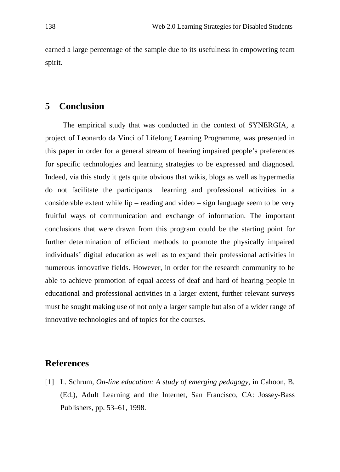earned a large percentage of the sample due to its usefulness in empowering team spirit.

# **5 Conclusion**

The empirical study that was conducted in the context of SYNERGIA, a project of Leonardo da Vinci of Lifelong Learning Programme, was presented in this paper in order for a general stream of hearing impaired people's preferences for specific technologies and learning strategies to be expressed and diagnosed. Indeed, via this study it gets quite obvious that wikis, blogs as well as hypermedia do not facilitate the participants learning and professional activities in a considerable extent while lip – reading and video – sign language seem to be very fruitful ways of communication and exchange of information. The important conclusions that were drawn from this program could be the starting point for further determination of efficient methods to promote the physically impaired individuals' digital education as well as to expand their professional activities in numerous innovative fields. However, in order for the research community to be able to achieve promotion of equal access of deaf and hard of hearing people in educational and professional activities in a larger extent, further relevant surveys must be sought making use of not only a larger sample but also of a wider range of innovative technologies and of topics for the courses.

# <span id="page-13-0"></span>**References**

[1] L. Schrum, *On-line education: A study of emerging pedagogy*, in Cahoon, B. (Ed.), Adult Learning and the Internet, San Francisco, CA: Jossey-Bass Publishers, pp. 53–61, 1998.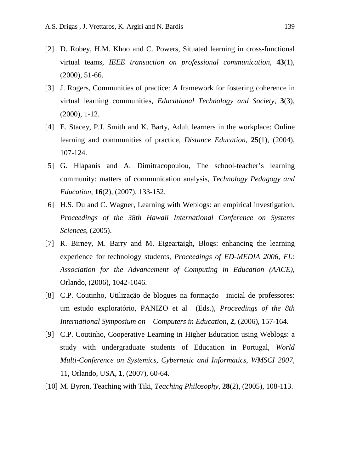- [2] D. Robey, H.M. Khoo and C. Powers, Situated learning in cross-functional virtual teams, *IEEE transaction on professional communication*, **43**(1), (2000), 51-66.
- [3] J. Rogers, Communities of practice: A framework for fostering coherence in virtual learning communities, *Educational Technology and Society*, **3**(3), (2000), 1-12.
- [4] E. Stacey, P.J. Smith and K. Barty, Adult learners in the workplace: Online learning and communities of practice, *Distance Education*, **25**(1), (2004), 107-124.
- [5] G. Hlapanis and A. Dimitracopoulou, The school-teacher's learning community: matters of communication analysis, *Technology Pedagogy and Education*, **16**(2), (2007), 133-152.
- [6] H.S. Du and C. Wagner, Learning with Weblogs: an empirical investigation, *Proceedings of the 38th Hawaii International Conference on Systems Sciences*, (2005).
- [7] R. Birney, M. Barry and M. Eigeartaigh, Blogs: enhancing the learning experience for technology students, *Proceedings of ED-MEDIA 2006, FL: Association for the Advancement of Computing in Education (AACE)*, Orlando, (2006), 1042-1046.
- [8] C.P. Coutinho, Utilização de blogues na formação inicial de professores: um estudo exploratório, PANIZO et al (Eds.), *Proceedings of the 8th International Symposium on Computers in Education*, **2**, (2006), 157-164.
- [9] C.P. Coutinho, Cooperative Learning in Higher Education using Weblogs: a study with undergraduate students of Education in Portugal, *World Multi-Conference on Systemics, Cybernetic and Informatics*, *WMSCI 2007*, 11, Orlando, USA, **1**, (2007), 60-64.
- [10] M. Byron, Teaching with Tiki, *Teaching Philosophy*, **28**(2), (2005), 108-113.